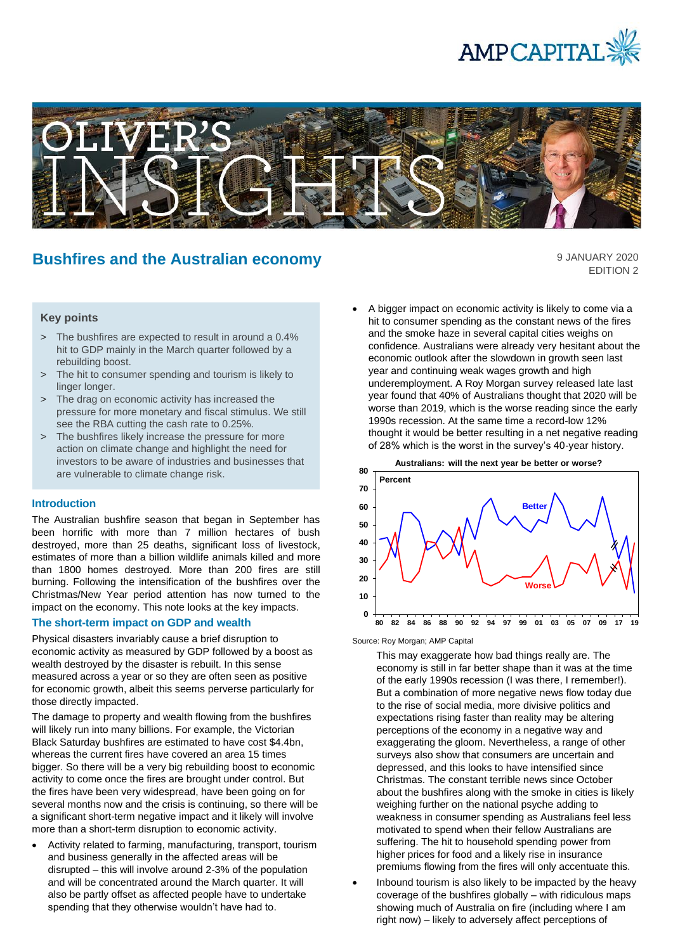



# **Bushfires and the Australian economy**

9 JANUARY 2020 EDITION 2

# **Key points**

- > The bushfires are expected to result in around a 0.4% hit to GDP mainly in the March quarter followed by a rebuilding boost.
- > The hit to consumer spending and tourism is likely to linger longer.
- > The drag on economic activity has increased the pressure for more monetary and fiscal stimulus. We still see the RBA cutting the cash rate to 0.25%.
- > The bushfires likely increase the pressure for more action on climate change and highlight the need for investors to be aware of industries and businesses that are vulnerable to climate change risk.

## **Introduction**

The Australian bushfire season that began in September has been horrific with more than 7 million hectares of bush destroyed, more than 25 deaths, significant loss of livestock, estimates of more than a billion wildlife animals killed and more than 1800 homes destroyed. More than 200 fires are still burning. Following the intensification of the bushfires over the Christmas/New Year period attention has now turned to the impact on the economy. This note looks at the key impacts.

## **The short-term impact on GDP and wealth**

Physical disasters invariably cause a brief disruption to economic activity as measured by GDP followed by a boost as wealth destroyed by the disaster is rebuilt. In this sense measured across a year or so they are often seen as positive for economic growth, albeit this seems perverse particularly for those directly impacted.

The damage to property and wealth flowing from the bushfires will likely run into many billions. For example, the Victorian Black Saturday bushfires are estimated to have cost \$4.4bn, whereas the current fires have covered an area 15 times bigger. So there will be a very big rebuilding boost to economic activity to come once the fires are brought under control. But the fires have been very widespread, have been going on for several months now and the crisis is continuing, so there will be a significant short-term negative impact and it likely will involve more than a short-term disruption to economic activity.

• Activity related to farming, manufacturing, transport, tourism and business generally in the affected areas will be disrupted – this will involve around 2-3% of the population and will be concentrated around the March quarter. It will also be partly offset as affected people have to undertake spending that they otherwise wouldn't have had to.

• A bigger impact on economic activity is likely to come via a hit to consumer spending as the constant news of the fires and the smoke haze in several capital cities weighs on confidence. Australians were already very hesitant about the economic outlook after the slowdown in growth seen last year and continuing weak wages growth and high underemployment. A Roy Morgan survey released late last year found that 40% of Australians thought that 2020 will be worse than 2019, which is the worse reading since the early 1990s recession. At the same time a record-low 12% thought it would be better resulting in a net negative reading of 28% which is the worst in the survey's 40-year history.



Source: Roy Morgan; AMP Capital

This may exaggerate how bad things really are. The economy is still in far better shape than it was at the time of the early 1990s recession (I was there, I remember!). But a combination of more negative news flow today due to the rise of social media, more divisive politics and expectations rising faster than reality may be altering perceptions of the economy in a negative way and exaggerating the gloom. Nevertheless, a range of other surveys also show that consumers are uncertain and depressed, and this looks to have intensified since Christmas. The constant terrible news since October about the bushfires along with the smoke in cities is likely weighing further on the national psyche adding to weakness in consumer spending as Australians feel less motivated to spend when their fellow Australians are suffering. The hit to household spending power from higher prices for food and a likely rise in insurance premiums flowing from the fires will only accentuate this.

• Inbound tourism is also likely to be impacted by the heavy coverage of the bushfires globally – with ridiculous maps showing much of Australia on fire (including where I am right now) – likely to adversely affect perceptions of